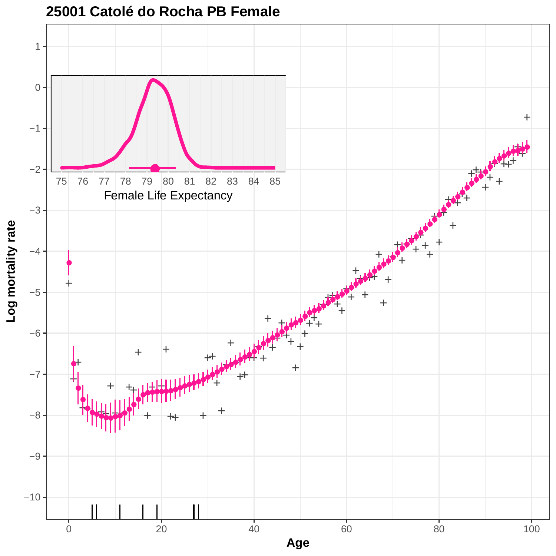

#### **25001 Catolé do Rocha PB Female**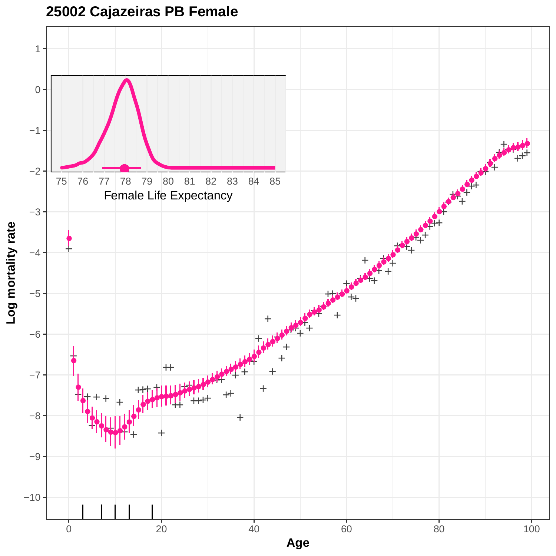**25002 Cajazeiras PB Female**

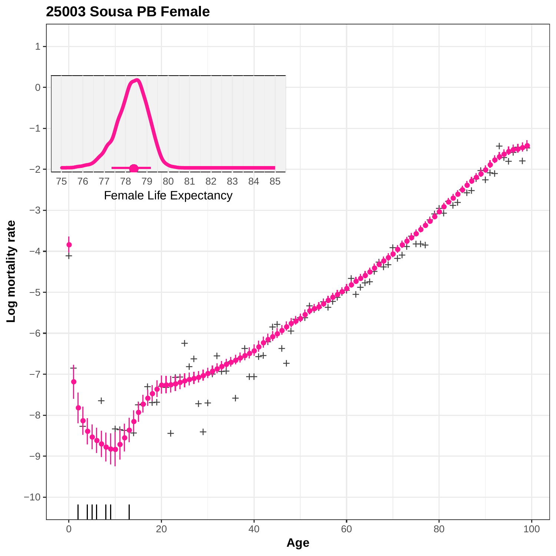

**25003 Sousa PB Female**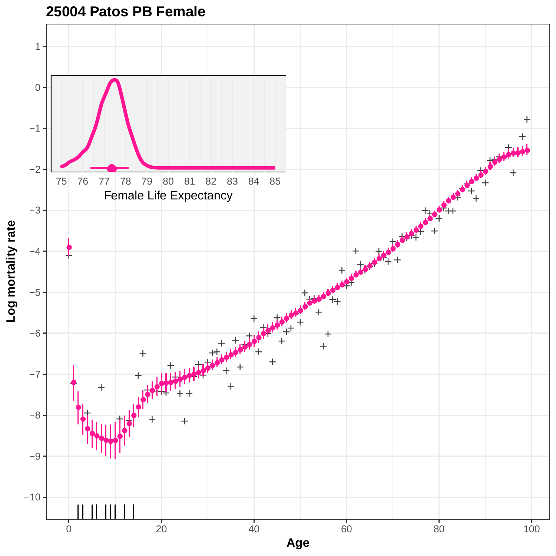

**25004 Patos PB Female**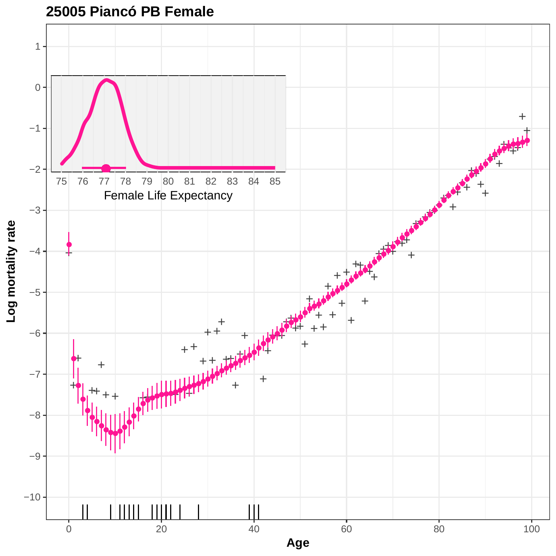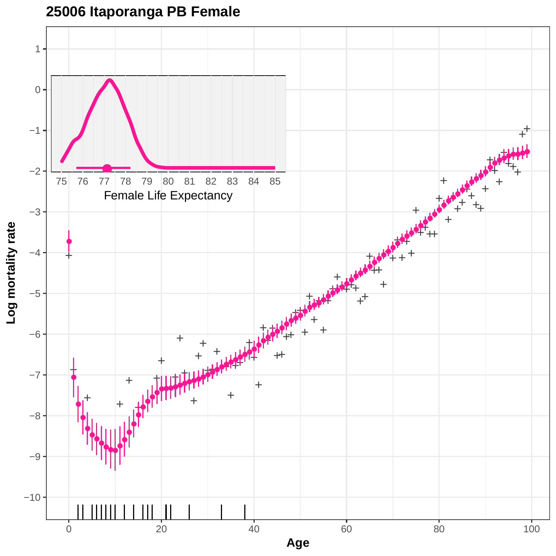

## **25006 Itaporanga PB Female**

0 20 20 40 60 80 80 100 **Age**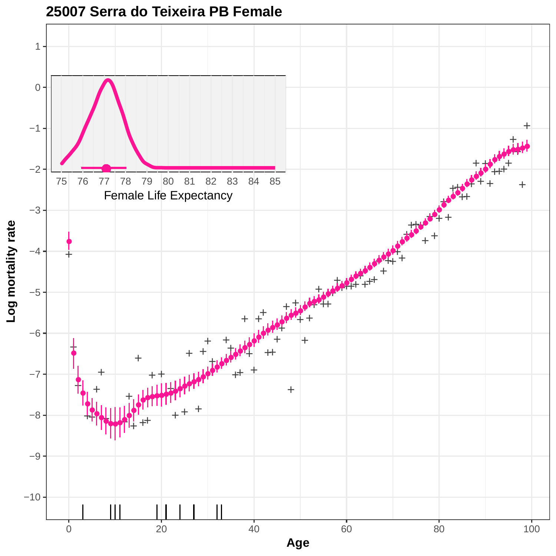

#### **25007 Serra do Teixeira PB Female**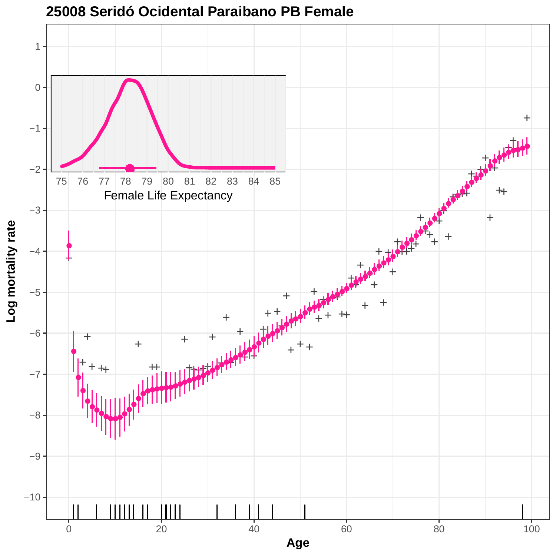

#### **25008 Seridó Ocidental Paraibano PB Female**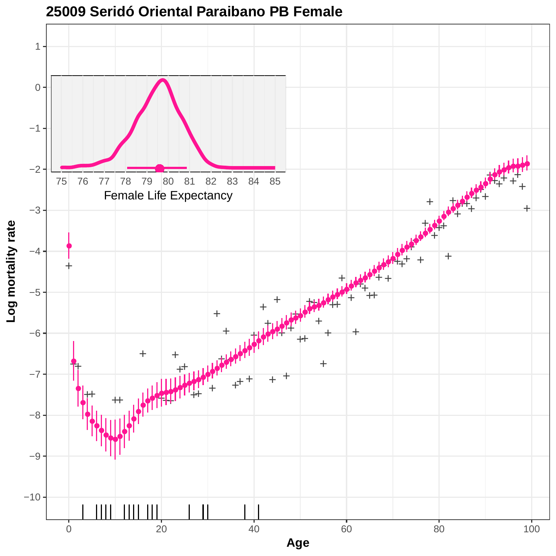

## **25009 Seridó Oriental Paraibano PB Female**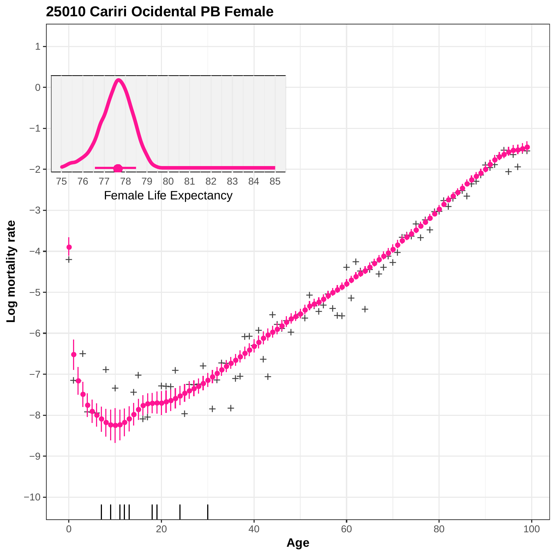

#### **25010 Cariri Ocidental PB Female**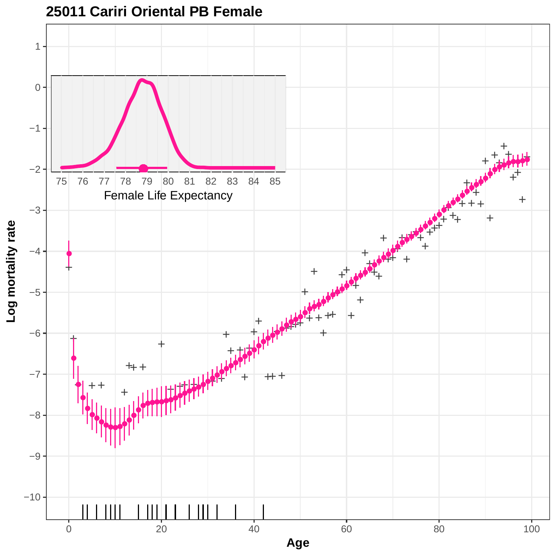

#### **25011 Cariri Oriental PB Female**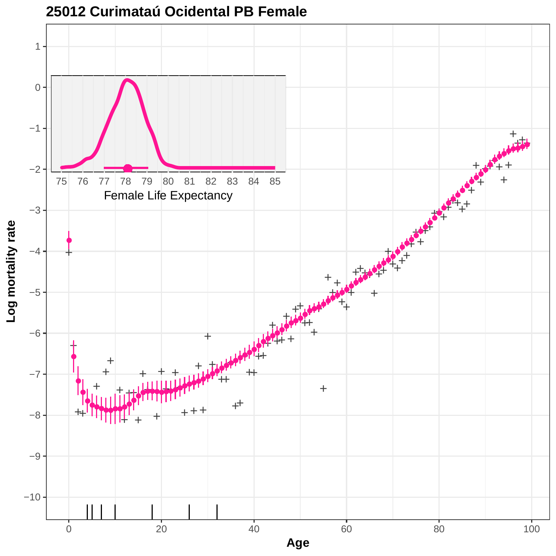

**25012 Curimataú Ocidental PB Female**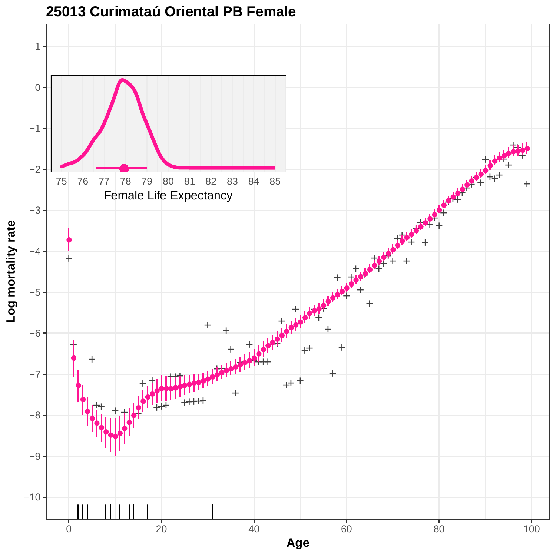

**<sup>25013</sup> Curimataú Oriental PB Female**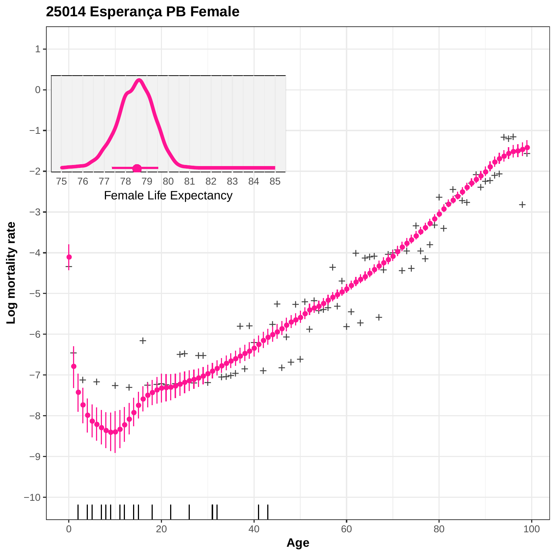**25014 Esperança PB Female**

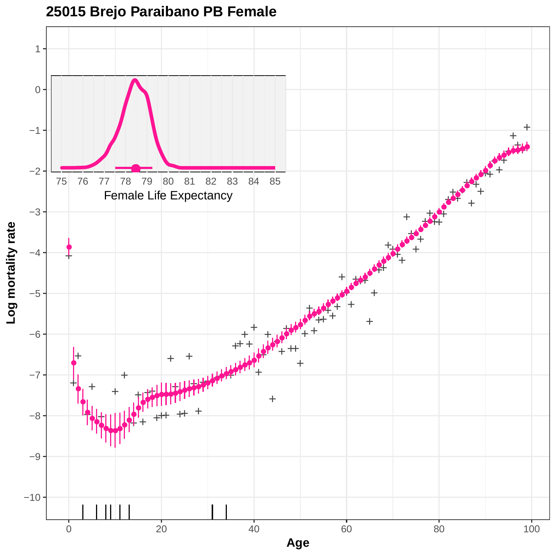

#### **25015 Brejo Paraibano PB Female**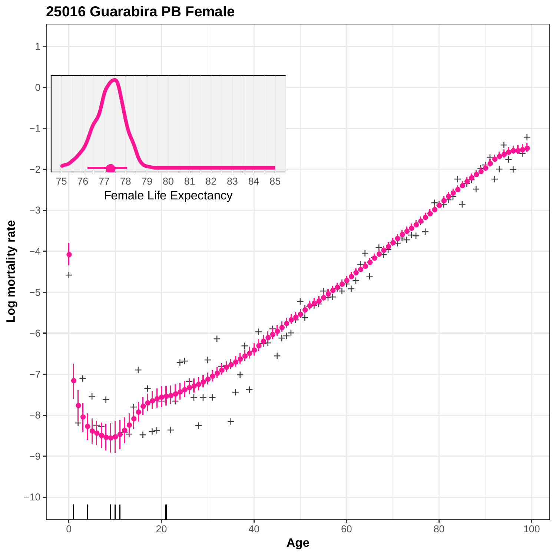

#### **25016 Guarabira PB Female**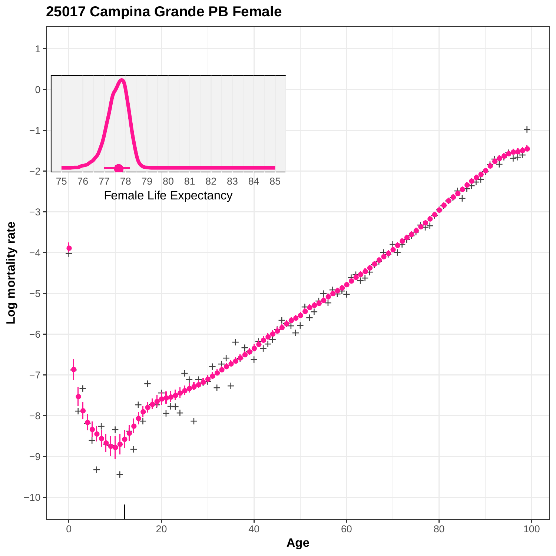

# **25017 Campina Grande PB Female**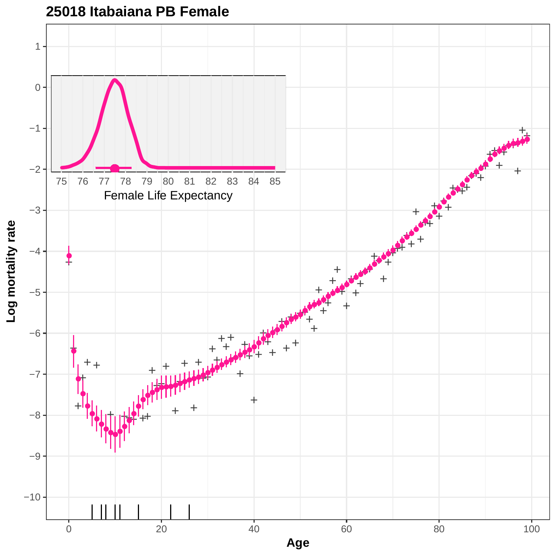

### **25018 Itabaiana PB Female**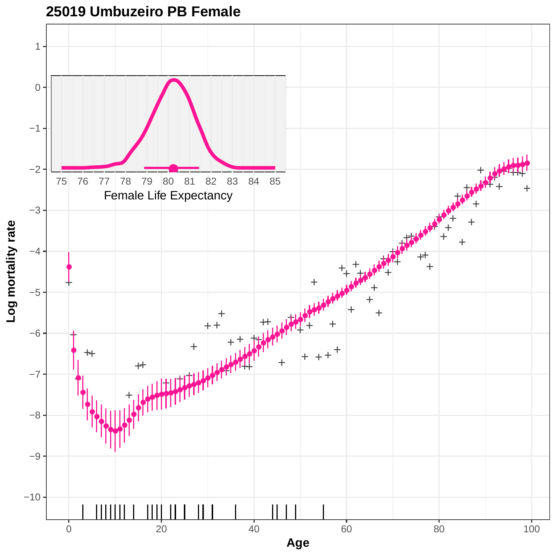

**25019 Umbuzeiro PB Female**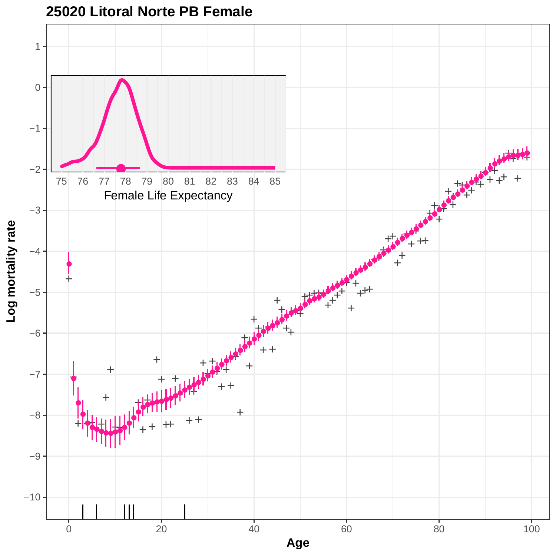

**25020 Litoral Norte PB Female**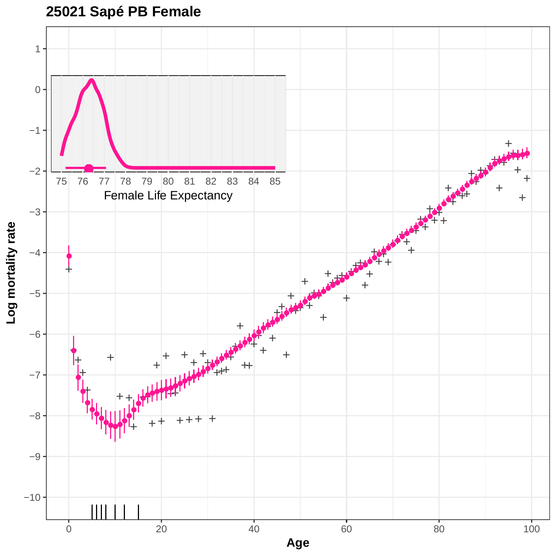

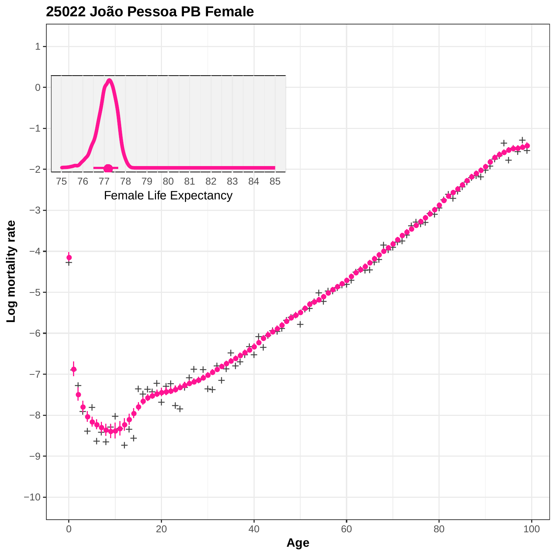

**25022 João Pessoa PB Female**